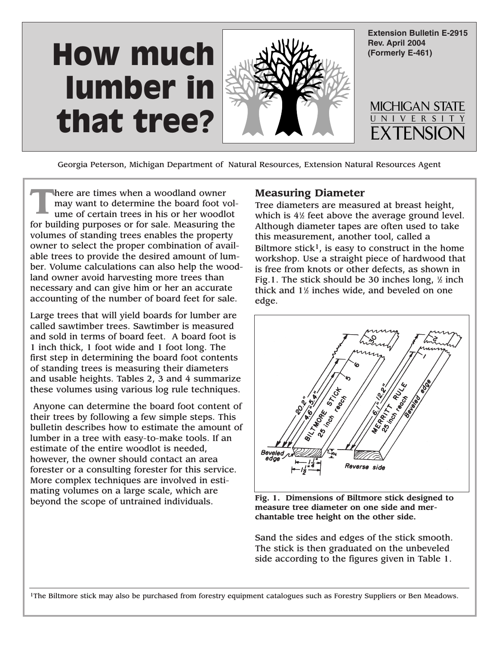

Georgia Peterson, Michigan Department of Natural Resources, Extension Natural Resources Agent

There are times when a woodland owner<br>
ume of certain trees in his or her woodlot may want to determine the board foot volfor building purposes or for sale. Measuring the volumes of standing trees enables the property owner to select the proper combination of available trees to provide the desired amount of lumber. Volume calculations can also help the woodland owner avoid harvesting more trees than necessary and can give him or her an accurate accounting of the number of board feet for sale.

Large trees that will yield boards for lumber are called sawtimber trees. Sawtimber is measured and sold in terms of board feet. A board foot is 1 inch thick, 1 foot wide and 1 foot long. The first step in determining the board foot contents of standing trees is measuring their diameters and usable heights. Tables 2, 3 and 4 summarize these volumes using various log rule techniques.

Anyone can determine the board foot content of their trees by following a few simple steps. This bulletin describes how to estimate the amount of lumber in a tree with easy-to-make tools. If an estimate of the entire woodlot is needed, however, the owner should contact an area forester or a consulting forester for this service. More complex techniques are involved in estimating volumes on a large scale, which are beyond the scope of untrained individuals.

## **Measuring Diameter**

Tree diameters are measured at breast height, which is 41 ⁄2 feet above the average ground level. Although diameter tapes are often used to take this measurement, another tool, called a Biltmore stick<sup>1</sup>, is easy to construct in the home workshop. Use a straight piece of hardwood that is free from knots or other defects, as shown in Fig.1. The stick should be 30 inches long, 1 ⁄2 inch thick and 1½ inches wide, and beveled on one edge.



**Fig. 1. Dimensions of Biltmore stick designed to measure tree diameter on one side and merchantable tree height on the other side.**

Sand the sides and edges of the stick smooth. The stick is then graduated on the unbeveled side according to the figures given in Table 1.

<sup>1</sup>The Biltmore stick may also be purchased from forestry equipment catalogues such as Forestry Suppliers or Ben Meadows.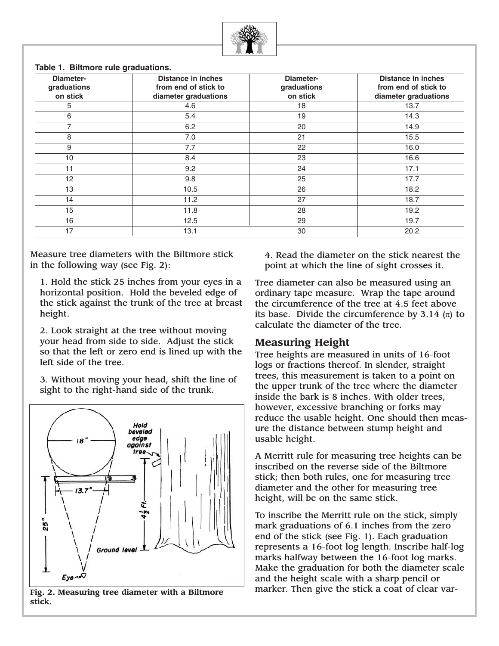

**Table 1. Biltmore rule graduations.**

| Diameter-<br>graduations<br>on stick | <b>Distance in inches</b><br>from end of stick to<br>diameter graduations | <b>Diameter-</b><br>graduations<br>on stick | <b>Distance in inches</b><br>from end of stick to<br>diameter graduations |
|--------------------------------------|---------------------------------------------------------------------------|---------------------------------------------|---------------------------------------------------------------------------|
| 5                                    | 4.6                                                                       | 18                                          | 13.7                                                                      |
| 6                                    | 5.4                                                                       | 19                                          | 14.3                                                                      |
| $\overline{7}$                       | 6.2                                                                       | 20                                          | 14.9                                                                      |
| 8                                    | 7.0                                                                       | 21                                          | 15.5                                                                      |
| 9                                    | 7.7                                                                       | 22                                          | 16.0                                                                      |
| 10                                   | 8.4                                                                       | 23                                          | 16.6                                                                      |
| 11                                   | 9.2                                                                       | 24                                          | 17.1                                                                      |
| 12                                   | 9.8                                                                       | 25                                          | 17.7                                                                      |
| 13                                   | 10.5                                                                      | 26                                          | 18.2                                                                      |
| 14                                   | 11.2                                                                      | 27                                          | 18.7                                                                      |
| 15                                   | 11.8                                                                      | 28                                          | 19.2                                                                      |
| 16                                   | 12.5                                                                      | 29                                          | 19.7                                                                      |
| 17                                   | 13.1                                                                      | 30                                          | 20.2                                                                      |

Measure tree diameters with the Biltmore stick in the following way (see Fig. 2):

1. Hold the stick 25 inches from your eyes in a horizontal position. Hold the beveled edge of the stick against the trunk of the tree at breast height.

2. Look straight at the tree without moving your head from side to side. Adjust the stick so that the left or zero end is lined up with the left side of the tree.

3. Without moving your head, shift the line of sight to the right-hand side of the trunk.



**Fig. 2. Measuring tree diameter with a Biltmore stick.**

4. Read the diameter on the stick nearest the point at which the line of sight crosses it.

Tree diameter can also be measured using an ordinary tape measure. Wrap the tape around the circumference of the tree at 4.5 feet above its base. Divide the circumference by 3.14  $(\pi)$  to calculate the diameter of the tree.

## **Measuring Height**

Tree heights are measured in units of 16-foot logs or fractions thereof. In slender, straight trees, this measurement is taken to a point on the upper trunk of the tree where the diameter inside the bark is 8 inches. With older trees, however, excessive branching or forks may reduce the usable height. One should then measure the distance between stump height and usable height.

A Merritt rule for measuring tree heights can be inscribed on the reverse side of the Biltmore stick; then both rules, one for measuring tree diameter and the other for measuring tree height, will be on the same stick.

To inscribe the Merritt rule on the stick, simply mark graduations of 6.1 inches from the zero end of the stick (see Fig. 1). Each graduation represents a 16-foot log length. Inscribe half-log marks halfway between the 16-foot log marks. Make the graduation for both the diameter scale and the height scale with a sharp pencil or marker. Then give the stick a coat of clear var-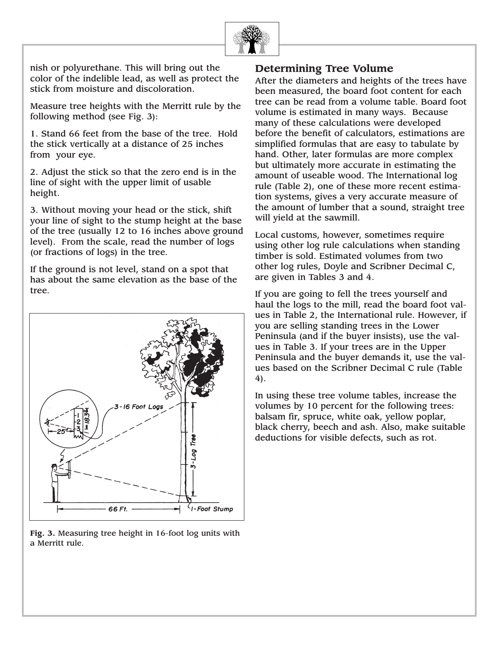

nish or polyurethane. This will bring out the color of the indelible lead, as well as protect the stick from moisture and discoloration.

Measure tree heights with the Merritt rule by the following method (see Fig. 3):

1. Stand 66 feet from the base of the tree. Hold the stick vertically at a distance of 25 inches from your eye.

2. Adjust the stick so that the zero end is in the line of sight with the upper limit of usable height.

3. Without moving your head or the stick, shift your line of sight to the stump height at the base of the tree (usually 12 to 16 inches above ground level). From the scale, read the number of logs (or fractions of logs) in the tree.

If the ground is not level, stand on a spot that has about the same elevation as the base of the tree.



**Fig. 3.** Measuring tree height in 16-foot log units with a Merritt rule.

## **Determining Tree Volume**

After the diameters and heights of the trees have been measured, the board foot content for each tree can be read from a volume table. Board foot volume is estimated in many ways. Because many of these calculations were developed before the benefit of calculators, estimations are simplified formulas that are easy to tabulate by hand. Other, later formulas are more complex but ultimately more accurate in estimating the amount of useable wood. The International log rule (Table 2), one of these more recent estimation systems, gives a very accurate measure of the amount of lumber that a sound, straight tree will yield at the sawmill.

Local customs, however, sometimes require using other log rule calculations when standing timber is sold. Estimated volumes from two other log rules, Doyle and Scribner Decimal C, are given in Tables 3 and 4.

If you are going to fell the trees yourself and haul the logs to the mill, read the board foot values in Table 2, the International rule. However, if you are selling standing trees in the Lower Peninsula (and if the buyer insists), use the values in Table 3. If your trees are in the Upper Peninsula and the buyer demands it, use the values based on the Scribner Decimal C rule (Table 4).

In using these tree volume tables, increase the volumes by 10 percent for the following trees: balsam fir, spruce, white oak, yellow poplar, black cherry, beech and ash. Also, make suitable deductions for visible defects, such as rot.